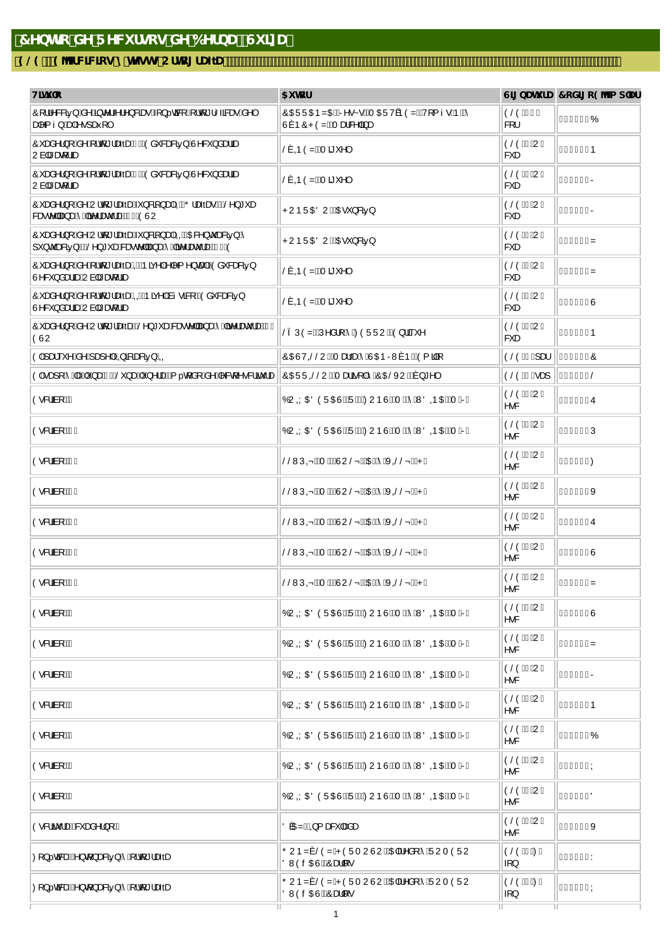## 7YbHc XY F YW fgcg XY 6YfbU fGi ]nUL

## 9@919YfWWcgmHYghgCfhc[fUZU

| H]hi `c                                                                                                         | 5i hcf                                                                                                         |                                   | G][ bUhi fU 7 cX][ c9 Ya d'Uf |
|-----------------------------------------------------------------------------------------------------------------|----------------------------------------------------------------------------------------------------------------|-----------------------------------|-------------------------------|
| Ô[¦¦^&&ã5}Áå^Á§c^¦ <i>^\^</i> }&ãæ^Á{}cã&[Ë[¦q'* 1 <ã&æ^Áå^ <br>aa ^{।}Áæa Á∙∙]aafi[                            | ÔŒÜÜŒÞZŒÉkR^•g•É4TŒÜVÞÒZÉÁV[{ı•ÁÞÈÁ<br>Ù7 ÞÔPÒZẾ Ad&^ ãæ                                                       | ÒŠÒËTI Ë<br>&[¦                   | €eldîó                        |
| Ô æå^¦}[Áå^Á¦q *¦æðæÁFKÓðà &æ&ð5}ÁJ^&`}åætäæ<br>Uàa <sup>3</sup> æn[¦ãæ                                         | Š7O≳OŽÁTã *^                                                                                                   | ÒŠÒËI ĐUË<br>& æ                  | €€HÌÍHÞ                       |
| Ô æå^¦}[Áå^Á,¦q'*¦æðæÓGKÓvå &æ&ð5}ÁJ^&`}åæläæ<br>Uàa æ iæn                                                      | Š7 OD ÒZẾT ã ˇ ^                                                                                               | ÒŠÒËI ĐUË<br>& æ                  | €eHìÍIR                       |
| Ô `æå^¦}[Áå^ÁU¦q' *¦æðæÁč}&{}}æþÁQÁQÕ¦æðærDKÁŠ^}*`æ<br>&æ∙c^∥æ)æÁ Áãe^¦æč ¦æÉÁFóÁÒÙU                            | PUÞÜŒÖUÉÁDE <sup>*</sup> }&5}                                                                                  | ÒŠÒË ĐUË<br>&*æ                   | €eHìïR                        |
| Ô `æå^¦}[Áå^ÁU¦q[*¦æðæÁ~`}&ã[}æþÁ00ÁQQB2^}c `æ&ã5}Á<br>I') c askati DASO') * adkase c'ila) ad Aña an iadarró (O | PUÞÜŒÖUÉÁŒE <sup>*</sup> } & 25}                                                                               | ÒŠÒËI ĐUË<br>& æ                  | €eHìïìz                       |
| Ô saå^¦}[Áå^Á{¦q *¦æðæÁl04ÁÞã{^ Á ^{^}œaHÁÓà 8æ8ã5}<br>Ù^&`}åæläæÁUà ã*æq[¦ãæ                                   | Š7 OD ÒZÉAT ã ˇ ^                                                                                              | ÒŠÒËI ĐUË<br>&*æ                  | €eHìí́Z                       |
| Ô æå^¦}[Áå^Á,¦d[*¦æðæÁQQÁÞã{^ Áàı •āR[KÁÒå &æ&ã5}<br>Ù^&`}åæläæÁUà ã*æq[¦ãæ                                     | Š7 OD ÒZẾT ã ˇ ^                                                                                               | ÒŠÒËI ĐUË<br>& æ                  | €eHìíìÙ                       |
| Ô æå^¦}[Áå^ÁU¦q[*¦æðækk $\tilde{S}$ ^}*`æk&æ∙c^∥æ}æk^Áða^¦æč¦æ£k∓ó<br>ÒÙU                                       | Š3 ÚÒZÉÁV^å¦[Á ÁZÒÜÜUÉÓ}¦ã `^                                                                                  | ÒŠÒËI ĐUË<br>&*æ                  | €€HÌÎÞ                        |
| Ò lÁiæi `^ Áã^Áiæ]^ KÁQu a&aae&a5}ÁQQ                                                                           | ÔŒÙVOŠŠUÉÁT ælðæÁ ÁÚOEÞRW7ÞÉÁÓ { ãã]                                                                           | ÒŠÒËI Ëjæl                        | ∈e∈e í Ô                      |
| Ò Áæ][ÁÁænÁ);æÁGAKŠ }ænÁ }^¦æ£Á, …qá[Áá^Á^&q^∙&¦ã覿  ÔŒÜÜGŠŠUÉÁTæ¦á[ ÁÁÔŒŠXUÉÁT}*^                               |                                                                                                                | ÒŠÒËË a a                         | €€l€lŠ                        |
| Ò∙&'âà[ÉkF                                                                                                      | ÓU QÝ O BÔ Ô LU CHÔ LO CHÔ LU CHÔ LU CHÔ LU CHÔ LU CHÔ LU CHÔ LU CHÔ LU CHÔ LU CHÔ LU CHÔ LU CHÔ LU CHÔ LU CHÔ | ÒŠÒĐ ĐUË<br>∧•&                   | €€ÍGFIÛ                       |
| Ò∙&lãà[ÉÁF€                                                                                                     | ÓUQÝO EÖÖ ÜQEÜ BÉKRU ÞÙ BÁT BÁ ÁNÖ OR O BÉAT BREI                                                              | ÒŠÒËI ĐUË<br>^•&                  | €€ÍG€ÎÚ                       |
| Ò∙&lãa[ÉÁFF                                                                                                     | ŠŠWÚ OD ÉÁT HÊÂUU ŠpÉÁDELÁÁK OŠŠpÉÁP È                                                                         | ÒŠÒËI ĐUË<br>∧•&                  | €€ÍG€ÍØ                       |
| Ò•&lâà[ÉÀFG                                                                                                     | ŠŠWÚ OD ÉÁT ÈÉÂUU ŠpÉÁDEÉÁ ÁK OŠŠpÉÁP È                                                                        | ÒŠÒËI ĐUË<br>$\lambda \bullet \&$ | €∈lîìîx                       |
| Ò∙&¦âà[ÉÁFH                                                                                                     | ŠŠWÚ OD ÉÁT ÈÉÂJU ŠpÉÁDEÉÁ ÁK OŠŠpÉÁP È                                                                        | ÒŠÒËI ĐUË<br>∧•&                  | €€IÎÌÚ                        |
| Ò∙&lâà[ÉkFl                                                                                                     | ŠŠWÚQD ÉÁT ĐẾN U ŠpÉKOĐEÁ ÁK QŠŠpÉÁP È                                                                         | ÒŠÒËI ĐUË<br>$\lambda \bullet \&$ | €€IÎÌIÙ                       |
| Ò∙&lãa[ÉkFÍ                                                                                                     | ŠŠWÚ OD ÉPT LÊĤÛ U ŠpÉKOLEÁ ÁK OŠŠpÉÁP È                                                                       | ÒŠÒËI ĐUË<br>^•&                  | €€lîìHZ                       |
| Ò & âi[ÉÍG                                                                                                      | ÓU QÝ O BÔ Ô LU CHÔ LU CHÔ LU CHÔ LU CHÔ LU CHÔ LU CHÔ LU CHÔ LU CHÔ LU CHÔ LU CHÔ LU CHÔ LU CHÔ LU            | ÒŠÒËI ĐUË<br>^•&                  | €€ÍGFHÙ                       |
| Ò∙&lãà[ÉÁH                                                                                                      | ÓUQÝO EÖÖ ÜQEÜ BÉVEYU ÞÙ BÁT BÁ ÁNÖ OR O BÉAT BREI                                                             | ÒŠÒË ĐUË<br>∧•&                   | €€ÍGFGZ                       |
| Ò∙&¦ãa[ÉÁ                                                                                                       |                                                                                                                | ÒŠÒËI ĐUË<br>^•&                  | €€ÍGFFR                       |
| Ò∙&¦ãa[ÉĂ                                                                                                       | ÓU QÝ O BÔ Ô LU CHÔ LU CHÔ LU CHÔ LU CHÔ LU CHÔ LU CHÔ LU CHÔ LU CHÔ LU CHÔ LU CHÔ LU CHÔ LU CHÔ LU            | ÒŠÒËI ĐUË<br>∧•&                  | €€Í GF€Þ                      |
| Ò•&lâà[ÉÄ                                                                                                       | ÓUQÝO EÖÖ ÜQEÜ BÉVEYU ÞÙ BÁT BÁ ÁNÖ OR O BÉAT BREI                                                             | ÒŠÒËI ĐUË<br>^•&                  | €EÍGEJÓ                       |
| Ò∙&lãà[ÉÂ                                                                                                       | ÓUQÝO EÖÖ ÜQEÜ BÉVEYU ÞÙ BÁT BÁ ÁNÖ OR O BÉAT BREI                                                             | ÒŠÒËI ĐUË<br>∧•&                  | €€ÍG€ÌÝ                       |
| Ò∙&'âà[ÉÀJ                                                                                                      | ÓUQÝO EÖÖ ÜQEÜ BÉKRU ÞÙ BÁT BÁ ÁNÖ OR O BÉAT BREI                                                              | ÒŠÒËI ĐUË<br>$\lambda \bullet \&$ | €eíœïö                        |
| Ò∙&¦ã覿k#&čæå^¦}[ÁF                                                                                              | Ö OZÉÁQ { a& aàæ                                                                                               | ÒŠÒËI ĐUË<br>^•&                  | €el€lGX                       |
| 0[}o3&ade24^}q[}ad&25}Á.4, lq[*læðæ                                                                             | ÕUÞZ7 ŠÒZÁPÒÜT UÙUÉÁŒH^å[Á ÁÜUT ÒÜU<br>ÖWÒ÷ŒÙÊÁÔæH ·                                                           | ÒŠÒË EØË<br>$\{ \}$               | €€ÍÌGFY                       |
| 0 [}.ca‱ene2A^}qf}an&a5}Á Á, ¦q *¦æðæ                                                                           | ÕUÞZ7 ŠÒZÁPÒÜT UÙUÉÁŒH^å[Á ÁÜUT ÒÜU<br>ÖWÒ÷ŒÙÊÁÔæH[∙                                                           | ÒŠÒË ĐĐË<br>$\{ \}$               | €€Î JÏ JÝ                     |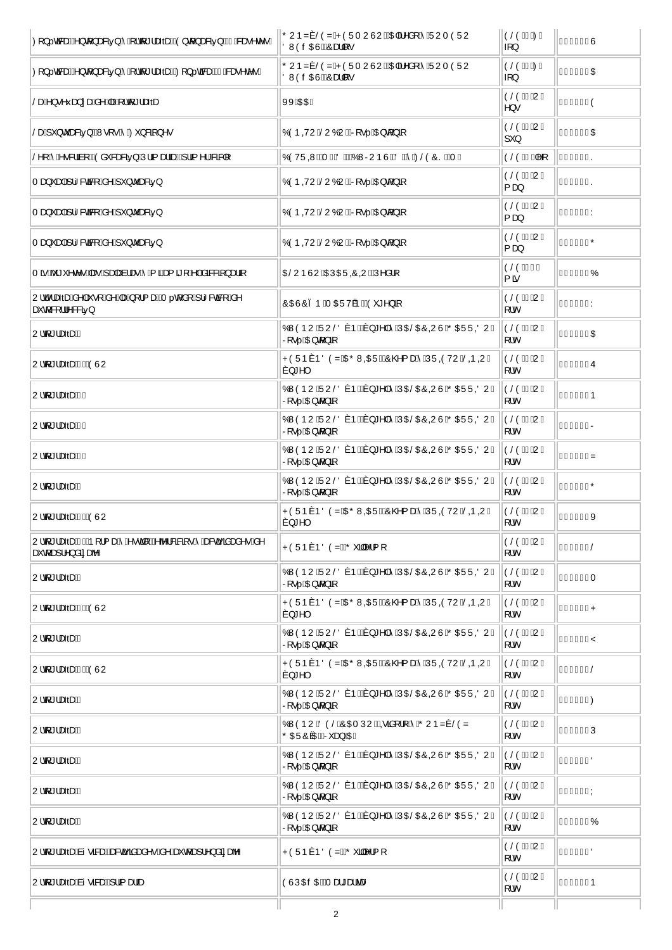| 0 {} calsed EA^} of } as & ab} Á A{   of *   as & abdo(AO} of } as & ab} ACG-AS as ^ c^ • D | ÕUÞZ7 ŠÒZÁPÒÜT UÙUÉKIH-^å[ Á ÁÜUT ÒÜU<br>ÖWÖ÷ŒÜÉŐæll·                                           | ÒŠÒËI EØË<br>$\{ \}$               | €€ÎFF€Ù          |
|---------------------------------------------------------------------------------------------|-------------------------------------------------------------------------------------------------|------------------------------------|------------------|
| 0 } @ RadEA } d } as & \$5 } A 4 } d *   as & \$4400 } @ Rad QEH & as ^ c ^ . D             | ÕUÞZ7ŠÒZÁPÒÜTUÙUÉKIE-I^å[Á ÄÜUTÒÜU<br>ÖWÒ÷ŒÙÊÁÔæH[·                                             | ÒŠÒË EØË<br>$\{ \}$                | €€ÍÌŒŒ           |
| ŠæÁ^}•^fiæ}:æÁå^ÁæÁ∖¦q*¦æðæ                                                                 | <b>XXÈXEE</b>                                                                                   | ÒŠÒË ĐUË<br>$\ket{\wedge} \bullet$ | €elîlÍÒ          |
| ŠæÁ).`}čæ&ã5}kÁW∘[∙ÁÁ⊘*}&ã[}^∙                                                              | ÓÒPQYUÁŠUÓUÉÁR ·  ÁDE q } 4                                                                     | ÒŠÒËI ĐUË<br>$\vert$ '}            | €€ÎJGÎŒ          |
| Š^[ÁÁ•&¦ãa[KÁÒå~&æ&ã5}ÁÚ¦ã{æàãæÉÁ}¦ã{^¦Á&ã& [                                               | Ó Ó VÜQNÉAT O AÖ LÉKÓ VARUÞ Ú ÉKÖLER Á ØSÓ Ó SÉAT E                                             | ÒŠÒË ËM[                           | €el€lîS          |
| Tæ}̃æ∮Á¦l&ca®{Áå^Áj̃}čæ&ā5}                                                                 | ÓÒPQYUÁŠUÓUÉÁR  ÁDE q } ā                                                                       | ÒŠÒË ĐUË<br>{ കു                   | <del>∈</del> ∈Hê |
| Tæ}̃æ∮Á¦l&cã&[Áå^Á]̃}čæ&ã5}                                                                 | ÓÒPQYUÁŜUÓUÊT NO  ÁDE q } ã                                                                     | ÒŠÒËI ĐUË<br>$\{a\}$               | €€IGÍÏY          |
| Tæ}̃æ∮Á¦l&caRjÁå^Áj̃}čæ&ā5}                                                                 | ÓÒPQYUÁŠUÓUÉÁR • ÁGE q } ā                                                                      | ÒŠÒËI ĐUË<br>$\{a\}$               | €€ÎJŒÏÕ          |
| Tã Áŏ * ˇ^c^● Áæ∙ Á∖æþæà¦æ∙ Á Á∖ã&æ{ã [Á°∣Áåā&&ã[}æ∃ã]                                      | OBU ÞÙUÁOEÚ OLÚ QUÉÁÚ^å¦[                                                                       | ÒŠÒËFI Ë<br>$\{ \tilde{a}$         | €eííïïó          |
| U¦c*¦æðæÁå^ Á•[Áå^ÁæÁ}[¦{ækÁTq[å[Áj¦l&æk]Áå^<br>æĭd[&[¦¦^&&ã5}                              | ÔŒÙÔ3 ÞÁT ŒÜV ÞÉÁÖ *^} ã                                                                        | ÒŠÒË ĐUË<br>∣[ ¦c                  | €€Î JQÍY         |
| Ulo[*læðæn—Í                                                                                | ÓWÒÞU ÁÜUŠÖ7ÞÉAr}*^ Á ÁÚOEŠOEÔQUÙ ÁÕOEÜÜQÖUÊ<br>$R \cdot .$ ACB $($ } $\delta$                  | ÒŠÒËI ĐUË<br>[ ¦c                  | €eiŒ             |
| Uld[*læðæ FK KÓ ÚU                                                                          | PÒ ÜÞ 7ÞÖ Ò ZÁ DỐ WO DẾ LỐ CO { a 4Á Á JÜ OÙ VU Á SO QUÊ<br>$7$ <sup>*</sup> $\sim$             | ÒŠÒËI ĐUË<br>∣⊺ ¦c                 | €∈HÌÍÏÛ          |
| U¦q *¦æðæ <del>Í</del> €                                                                    | ÓWÒÞU ÁÜUŠÖ7ÞÉAT}*^ Á ÁڌЌÓQUÙÁŐŒÜÜQÖUÊ<br>$R \cdot .$ ACH $d$ } $\overline{a}$                  | ÒŠÒËÏ ĐUË.<br>[ ¦c                 | €€l€FlÞ          |
| Uld *læðæ fFF                                                                               | ÓWÒÞU ÁÜUŠÖ7ÞÉAr}*^ Á ÁÚOEŠOEÔQUÙ ÁÕOEÜÜQÖUÊ<br>$R \cdot .$ ACB $($ } $\delta$                  | ÒŠÒËÏÐUË<br>[ ¦c                   | €€l€FÍR          |
| Uld *læðæ frG                                                                               | ÓWÒÞU ÁÜUŠÖ7ÞÉAT}*^ Á ÁÚŒŠŒÔQUÙ ÁÕŒÜÜQÖUÊ<br>$R \cdot .$ ACB $($ } $\frac{5}{4}$                | ÒŠÒËIÐUË<br>∣[ ¦c                  | €€l€FÎZ          |
| U¦o[*¦æðæÁG                                                                                 | ÓWÒÞU ÁJUŠÖ7ÞÉAT}*^ Á ÁJŒIŠŒIÔQUÙ ÁÕŒ ÜÜ CÖUÊ<br>$R \cdot .$ $\overline{AB} \notin \mathcal{G}$ | ÒŠÒËÏ ĐUË<br>[¦c                   | €el€eîÕ          |
| U¦q *¦æðæÁGKÁÓÙU                                                                            | PÒÜÞ7ÞÖÒZÁDŐWODEÜÉÁÔ@{æÁÁÚÜÓÓVUÁŠOÞQUÊ<br>$7$ <sup>*</sup> $\sim$                               | ÒŠÒËÏÐUË<br>[ ¦c                   | €∈HÌÍÌX          |
| U¦q *¦æðæ Á GAÁÞ [¦{æÁÁ • cā [KÁb ¦&ækā] • Á Áæ&cāçãnæå ^• Án^<br>æĭo[æ]¦^}åãæb^            | PÒÜÞ7ÞÖÒZÉŐ [44 {[                                                                              | ÒŠÒËI ĐUË<br>∣⊺ ¦c                 | €€HIGIŠ          |
| Uld *læðæm <sup>í</sup> l                                                                   | ÓWÒÞU ÁÜUŠÖ7ÞÉAY} *^ Á ÁÚŒŠŒÔQUÙÁÕŒÜÜQÖUÊ<br>$R \cdot .$ ACB $d$ } $\delta$                     | ÒŠÒËI ĐUË<br>[ ¦c                  | €€l€€ÏT          |
| Uld *læðæ <del>hl</del> KÓÙU                                                                | PÒÜÞ7ÞÖÒZÁDŐWODEÜÉÁÔ@{æÁÁÚÜÓÓVUÁŠOÞQUÊ<br>$ 7$ <sup>*</sup>                                     | ÒŠÒËI ĐUË<br>[¦c                   | €∈HÌÍJP          |
| Uld *læðæÁ                                                                                  | ÓWÒÞU ÁJUŠÖ7ÞÉAT}*^ Á ÁJOEŠOEÔQUÙ ÁÕOEÜÜQÖUÊ<br>$R \cdot .$ ACB $($ } $\delta$                  | ÒŠÒËÏÐUË<br>[ ¦c                   | €€l€€ÌŸ          |
| U¦of *¦æðæÁ KAÔÙU                                                                           | PÒÜÞ7ÞÖÒZÁDŐWODEÜÉÁÔ@{æÁÁÚÜOÒVUÁŠODOUÊ<br>$7$ <sup>*</sup> $\sim$                               | ÒŠÒËI ĐUË<br>∣[ ¦c                 | €€HÌ Î€Š         |
| Uld[*læðænÁ                                                                                 | ÓWÒÞU ÁÜUŠÖ7ÞÉAT}*^ Á ÁÚŒŠŒÔQUÙ ÁÕŒÜÜQÖUÊ<br>$R \cdot .$ $\overline{AB} \notin \}$ a            | ÒŠÒËÏÐUË<br>[ ¦c                   | €€ €€10          |
| Uld[*læðænÂ                                                                                 | ÓWÒÞU ÁÖÒŠÁÔŒ ÚUÉR@ãi[¦ Á ÁÕUÞZ7 ŠÒZ<br>ÕŒÜÔ ŒÉKT a jÁDEÈ                                       | ÒŠÒËI ĐUË<br>∣[ ¦c                 | €€ €F€Ú          |
| Uld *læðæn <sup>4</sup>                                                                     | ÓWÒÞU ÁJUŠÖ7ÞÉAY}*^ Á ÁJŒIŠŒÓQU Ú ÁÕŒ JÜQÖUÊ<br>$R \cdot .$ ACB $($ } $\delta$                  | ÒŠÒËÏÐUË<br>[ ¦c                   | €€I€FFÖ          |
| U¦qf*¦æðæÁ                                                                                  | ÓWÒÞU ÁJUŠÖ7ÞÉAT}*^ Á ÁJŒIŠŒIÔQUÙ ÁÕŒ JÜQÖUÊ<br>$R \cdot .$ ACB $($ } $\frac{5}{4}$             | ÒŠÒËI ĐUË<br>[ ¦c                  | €€l€FGÝ          |
| Uld[*læðæÁJ                                                                                 | ÓWÒÞU ÁÜUŠÖ7ÞÉAT}*^ Á ÁڌЌÓQUÙÁŐŒÜÜQÖUÊ<br>$R \cdot .$ ACB $($ } $\frac{5}{4}$                   | │ÒŠÒËÏÐUË<br>[ ¦c                  | €€I€FHÓ          |
| U¦q *¦æðæÍai • alsækkeskæặãaæå^• Áa^Áeč q æ]¦^} åãæb^                                       | PÒÜÞ7ÞÖÒZÉŐ ăl^¦{[                                                                              | ÒŠÒËI ĐUË<br>[ ¦c                  | €∈GÏĴJÖ          |
| U¦q *¦æðæÁai•ææk∮¦ã[æåæ                                                                     | OUUCE CHEAT as* as a are                                                                        | ÒŠÒËI ĐUË<br>[ ¦c                  | €€lÍÎÞ           |